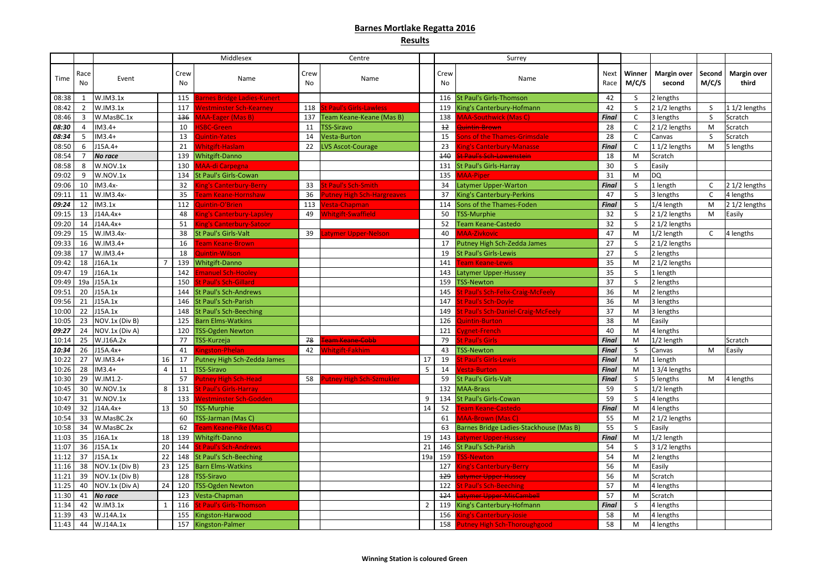# **Barnes Mortlake Regatta 2016**

# **Results**

|                |            |                |    |            | Middlesex                       |            | Centre                            |                |                | Surrey                                                   |                     |                 |                              |                 |                             |
|----------------|------------|----------------|----|------------|---------------------------------|------------|-----------------------------------|----------------|----------------|----------------------------------------------------------|---------------------|-----------------|------------------------------|-----------------|-----------------------------|
| Time           | Race<br>No | Event          |    | Crew<br>No | Name                            | Crew<br>No | Name                              |                | Crew<br>No     | Name                                                     | <b>Next</b><br>Race | Winner<br>M/C/S | <b>Margin over</b><br>second | Second<br>M/C/S | <b>Margin over</b><br>third |
| 08:38          |            | W.IM3.1x       |    | 115        | Barnes Bridge Ladies-Kunert     |            |                                   |                |                | 116 St Paul's Girls-Thomson                              | 42                  | <sub>S</sub>    | 2 lengths                    |                 |                             |
| 08:42          | 2          | W.IM3.1x       |    | 117        | <b>Nestminster Sch-Kearney</b>  | 118        | St Paul's Girls-Lawless           |                | 119            | King's Canterbury-Hofmann                                | 42                  | S               | 2 1/2 lengths                | S               | 11/2 lengths                |
| 08:46          | 3          | W.MasBC.1x     |    | 136        | MAA-Eager (Mas B)               |            | 137 Team Keane-Keane (Mas B)      |                | 138            | <b>MAA-Southwick (Mas C)</b>                             | Final               | $\mathsf{C}$    | 3 lengths                    | <sub>S</sub>    | Scratch                     |
| 08:30          | Δ          | $IM3.4+$       |    | 10         | <b>ISBC-Green</b>               |            | 11 TSS-Siravo                     |                | $+2$           | <b>Quintin-Brown</b>                                     | 28                  | $\mathsf{C}$    | 2 1/2 lengths                | M               | Scratch                     |
| 08:34          |            | $IM3.4+$       |    | 13         | Quintin-Yates                   | 14         | Vesta-Burton                      |                | 15             | Sons of the Thames-Grimsdale                             | 28                  |                 | Canvas                       | -S              | Scratch                     |
| 08:50          | 6          | $J15A.4+$      |    | 21         | Whitgift-Haslam                 | 22         | <b>LVS Ascot-Courage</b>          |                | 23             | <b>King's Canterbury-Manasse</b>                         | <b>Final</b>        | C.              | 11/2 lengths                 | M               | 5 lengths                   |
| 08:54          |            | <b>No race</b> |    | 139        | <b>Whitgift-Danno</b>           |            |                                   |                | 440            | <mark>st Paul's Sch-Lowenstein</mark>                    | 18                  | M               | Scratch                      |                 |                             |
| 08:58          | 8          | W.NOV.1x       |    | 130        | <b>MAA-di Carpegna</b>          |            |                                   |                | 131            | St Paul's Girls-Harray                                   | 30                  | S               | Easily                       |                 |                             |
| 09:02          | 9          | W.NOV.1x       |    |            | 134 St Paul's Girls-Cowan       |            |                                   |                | 135            | <b>MAA-Piper</b>                                         | 31                  | M               | <b>DQ</b>                    |                 |                             |
| 09:06          | 10         | IM3.4x-        |    | 32         | <b>Sing's Canterbury-Berry</b>  | 33         | <b>St Paul's Sch-Smith</b>        |                | 34             | Latymer Upper-Warton                                     | <b>Final</b>        |                 | 1 length                     | C               | 2 1/2 lengths               |
| 09:11          | 11         | W.IM3.4x-      |    | 35         | <b>Feam Keane-Hornshaw</b>      | 36         | <b>Putney High Sch-Hargreaves</b> |                | 37             | <b>King's Canterbury-Perkins</b>                         | 47                  | S               | 3 lengths                    | C               | 4 lengths                   |
| 09:24          | 12         | IM3.1x         |    | 112        | Quintin-O'Brien                 | 113        | /esta-Chapman                     |                | 114            | Sons of the Thames-Foden                                 | Final               |                 | 1/4 length                   | M               | 2 1/2 lengths               |
| 09:15          | 13         | $J14A.4x+$     |    | 48         | ing's Canterbury-Lapsley        | 49         | <b>Whitgift-Swaffield</b>         |                | 50             | TSS-Murphie                                              | 32                  |                 | 2 1/2 lengths                | M               | Easily                      |
| 09:20          | 14         | $J14A.4x+$     |    | 51         | <b>King's Canterbury-Satoor</b> |            |                                   |                | 52             | Team Keane-Castedo                                       | 32                  | <sub>S</sub>    | 2 1/2 lengths                |                 |                             |
| 09:29          | 15         | W.IM3.4x-      |    | 38         | <b>St Paul's Girls-Valt</b>     | 39         | atymer Upper-Nelson               |                | 40             | <b>AAA-Zivkovic</b>                                      | 47                  | M               | 1/2 length                   | $\mathsf{C}$    | 4 lengths                   |
| 09:33          | 16         | $W.IM3.4+$     |    | 16         | eam Keane-Brown                 |            |                                   |                | 17             | Putney High Sch-Zedda James                              | 27                  |                 | 2 1/2 lengths                |                 |                             |
| 09:38          | 17         | W.IM3.4+       |    | 18         | <b>Quintin-Wilson</b>           |            |                                   |                | 19             | <b>St Paul's Girls-Lewis</b>                             | 27                  |                 | 2 lengths                    |                 |                             |
| 09:42          | 18         | J16A.1x        |    |            | 139 Whitgift-Danno              |            |                                   |                | 141            | eam Keane-Lewis                                          | 35                  | M               | 2 1/2 lengths                |                 |                             |
| 09:47          | 19         | J16A.1x        |    | 142        | manuel Sch-Hooley               |            |                                   |                | 143            | Latymer Upper-Hussey                                     | 35                  | S               | 1 length                     |                 |                             |
| 09:49          | 19a        | J15A.1x        |    | 150        | St Paul's Sch-Gillard           |            |                                   |                | 159            | <b>TSS-Newton</b>                                        | 37                  | S               | 2 lengths                    |                 |                             |
| 09:51          | 20         | J15A.1x        |    | 144        | <b>St Paul's Sch-Andrews</b>    |            |                                   |                | 145            | St Paul's Sch-Felix-Craig-McFeely                        | 36                  | M               | 2 lengths                    |                 |                             |
| 09:56          | 21         | J15A.1x        |    | 146        | <b>St Paul's Sch-Parish</b>     |            |                                   |                | 147            | St Paul's Sch-Doyle                                      | 36                  | M               | 3 lengths                    |                 |                             |
| 10:00          | 22         | J15A.1x        |    | 148        | <b>St Paul's Sch-Beeching</b>   |            |                                   |                | 149            | St Paul's Sch-Daniel-Craig-McFeely                       | 37                  | M               | 3 lengths                    |                 |                             |
| 10:05          | 23         | NOV.1x (Div B) |    | 125        | <b>Barn Elms-Watkins</b>        |            |                                   |                | 126            | <b>Quintin-Burton</b>                                    | 38                  | M               | Easily                       |                 |                             |
| 09:27          | 24         | NOV.1x (Div A) |    | 120        | <b>TSS-Ogden Newton</b>         |            |                                   |                | 121            | <b>Cygnet-French</b>                                     | 40                  | M               | 4 lengths                    |                 |                             |
| 10:14          | 25         | W.J16A.2x      |    |            | TSS-Kurzeja                     | 78         | Feam Keane-Cobb                   |                | 79             | <b>St Paul's Girls</b>                                   | <b>Final</b>        | M               | 1/2 length                   |                 | Scratch                     |
| 10:34          | 26         | $J15A.4x+$     |    | 41         | Kingston-Phelan                 | 42         | <b>Whitgift-Fakhim</b>            |                | 43             | <b>TSS-Newton</b>                                        | <b>Final</b>        | S               | Canvas                       | M               | Easily                      |
| 10:22          | 27         | $W.IM3.4+$     | 16 |            | 17 Putney High Sch-Zedda James  |            |                                   | 17             | 19             | St Paul's Girls-Lewis.                                   | <b>Final</b>        | M               | 1 length                     |                 |                             |
| 10:26          | 28         | $IM3.4+$       | 4  |            | 11   TSS-Siravo                 |            |                                   | 5 <sub>1</sub> | 14             | Vesta-Burton                                             | <b>Final</b>        | M               | 13/4 lengths                 |                 |                             |
| 10:30          | 29         | W.IM1.2-       |    |            | 57 Putney High Sch-Head         | 58         | <b>Putney High Sch-Szmukler</b>   |                |                | 59 St Paul's Girls-Valt                                  | <b>Final</b>        | -S              | 5 lengths                    | M               | 4 lengths                   |
| 10:45          | 30         | W.NOV.1x       | 8  |            | 131 St Paul's Girls-Harray      |            |                                   |                |                | 132 MAA-Brass                                            | 59                  | S               | 1/2 length                   |                 |                             |
| 10:47          | 31         | W.NOV.1x       |    | 133        | Westminster Sch-Godden          |            |                                   | 9              |                | 134 St Paul's Girls-Cowan                                | 59                  | S               | 4 lengths                    |                 |                             |
| 10:49          | 32         | $J14A.4x+$     | 13 |            | 50 TSS-Murphie                  |            |                                   | 14             | 52             | <b>Team Keane-Castedo</b>                                | <b>Final</b>        | M               | 4 lengths                    |                 |                             |
| 10:54          | 33         | W.MasBC.2x     |    |            | 60   TSS-Jarman (Mas C)         |            |                                   |                | 61             | <b>MAA-Brown (Mas C)</b>                                 | 55                  | M               |                              |                 |                             |
| 10:58          | 34         | W.MasBC.2x     |    | 62         | Feam Keane-Pike (Mas C)         |            |                                   |                |                | 63 Barnes Bridge Ladies-Stackhouse (Mas B)               | 55                  | <sub>S</sub>    | 2 1/2 lengths<br>Easily      |                 |                             |
| 11:03          | 35         | J16A.1x        | 18 |            | 139 Whitgift-Danno              |            |                                   | 19             | 143            | Latymer Upper-Hussey                                     | <b>Final</b>        | M               | 1/2 length                   |                 |                             |
| 11:07          | 36         | J15A.1x        | 20 |            | 144 St Paul's Sch-Andrews       |            |                                   | 21             |                | 146 St Paul's Sch-Parish                                 | 54                  | S               | 3 1/2 lengths                |                 |                             |
|                | 37         | J15A.1x        | 22 |            | 148 St Paul's Sch-Beeching      |            |                                   |                | 159            | <b>TSS-Newton</b>                                        |                     | M               |                              |                 |                             |
| 11:12<br>11:16 | 38         | NOV.1x (Div B) | 23 |            | 125 Barn Elms-Watkins           |            |                                   | 19a            | 127            |                                                          | 54<br>56            | M               | 2 lengths<br>Easily          |                 |                             |
| 11:21          | 39         | NOV.1x (Div B) |    |            | 128 TSS-Siravo                  |            |                                   |                | <del>129</del> | <b>King's Canterbury-Berry</b><br>Latymer Upper-Hussey   | 56                  | M               | Scratch                      |                 |                             |
|                | 40         | NOV.1x (Div A) |    |            | 24 120 TSS-Ogden Newton         |            |                                   |                | 122            |                                                          | 57                  | M               |                              |                 |                             |
| 11:25          |            | <b>No race</b> |    |            | 123 Vesta-Chapman               |            |                                   |                | 124            | <b>St Paul's Sch-Beeching</b><br>atymer Upper-MisCambell | 57                  |                 | 4 lengths<br>Scratch         |                 |                             |
| 11:30          | 41<br>42   | W.IM3.1x       |    |            | 116 St Paul's Girls-Thomson     |            |                                   |                |                |                                                          | <b>Final</b>        | M               |                              |                 |                             |
| 11:34          |            |                |    |            |                                 |            |                                   | $\overline{2}$ |                | 119   King's Canterbury-Hofmann                          |                     | S.              | 4 lengths                    |                 |                             |
| 11:39          | 43         | W.J14A.1x      |    |            | 155 Kingston-Harwood            |            |                                   |                | 156            | <b>King's Canterbury-Josie</b>                           | 58                  | M               | 4 lengths                    |                 |                             |
| 11:43          | 44         | W.J14A.1x      |    |            | 157 Kingston-Palmer             |            |                                   |                |                | 158 Putney High Sch-Thoroughgood                         | 58                  | M               | 4 lengths                    |                 |                             |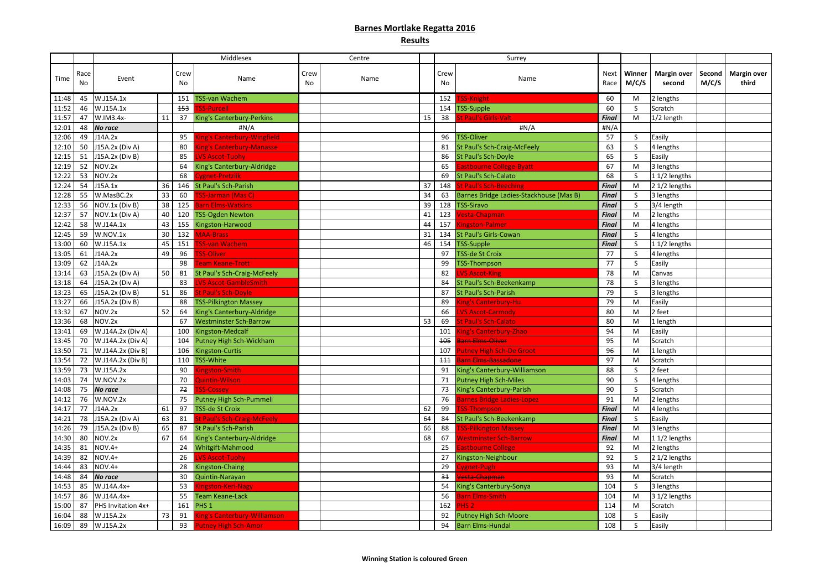# **Barnes Mortlake Regatta 2016**

# **Results**

|       |            |                        |    |            | Middlesex                           |            | Centre |    |            | Surrey                                  |              |                 |                              |                 |                             |
|-------|------------|------------------------|----|------------|-------------------------------------|------------|--------|----|------------|-----------------------------------------|--------------|-----------------|------------------------------|-----------------|-----------------------------|
| Time  | Race<br>No | Event                  |    | Crew<br>No | Name                                | Crew<br>No | Name   |    | Crew<br>No | Name                                    | Next<br>Race | Winner<br>M/C/S | <b>Margin over</b><br>second | Second<br>M/C/S | <b>Margin over</b><br>third |
| 11:48 | 45         | W.J15A.1x              |    |            | 151   TSS-van Wachem                |            |        |    | 152        | SS-Knight                               | 60           | M               | 2 lengths                    |                 |                             |
| 11:52 | 46         | W.J15A.1x              |    | 153        | <b>SS-Purcell</b>                   |            |        |    |            | 154 TSS-Supple                          | 60           |                 | Scratch                      |                 |                             |
| 11:57 | 47         | W.IM3.4x-              | 11 | 37         | <b>King's Canterbury-Perkins</b>    |            |        | 15 | 38         | St Paul's Girls-Valt.                   | <b>Final</b> | M               | 1/2 length                   |                 |                             |
| 12:01 | 48         | <b>No race</b>         |    |            | #N/A                                |            |        |    |            | #N/A                                    | #N/A         |                 |                              |                 |                             |
| 12:06 | 49         | J14A.2x                |    | 95         | <b>King's Canterbury-Wingfield</b>  |            |        |    | 96         | <b>TSS-Oliver</b>                       | 57           |                 | Easily                       |                 |                             |
| 12:10 | 50         | J15A.2x (Div A)        |    |            | <b>King's Canterbury-Manasse</b>    |            |        |    | 81         | <b>St Paul's Sch-Craig-McFeely</b>      | 63           |                 | 4 lengths                    |                 |                             |
| 12:15 | 51         | J15A.2x (Div B)        |    | 85         | <b>LVS Ascot-Tuohy</b>              |            |        |    | 86         | St Paul's Sch-Doyle                     | 65           |                 | Easily                       |                 |                             |
| 12:19 | 52         | NOV.2x                 |    |            | King's Canterbury-Aldridge          |            |        |    | 65         | Eastbourne College-Byatt                | 67           | M               | 3 lengths                    |                 |                             |
| 12:22 | 53         | NOV.2x                 |    | 68         | Cygnet-Pretzlik                     |            |        |    | 69         | St Paul's Sch-Calato                    | 68           |                 | $11/2$ lengths               |                 |                             |
| 12:24 | 54         | J15A.1x                | 36 |            | 146 St Paul's Sch-Parish            |            |        | 37 | 148        | <b>St Paul's Sch-Beeching</b>           | <b>Final</b> | M               | 2 1/2 lengths                |                 |                             |
| 12:28 | 55         | W.MasBC.2x             | 33 | 60         | TSS-Jarman (Mas C)                  |            |        | 34 | 63         | Barnes Bridge Ladies-Stackhouse (Mas B) | <b>Final</b> |                 | 3 lengths                    |                 |                             |
| 12:33 | 56         | NOV.1x (Div B)         | 38 | 125        | <b>Barn Elms-Watkins</b>            |            |        | 39 | 128        | <b>TSS-Siravo</b>                       | <b>Final</b> |                 | 3/4 length                   |                 |                             |
| 12:37 | 57         | NOV.1x (Div A)         | 40 |            | 120 TSS-Ogden Newton                |            |        | 41 | 123        | <b>Vesta-Chapman</b>                    | <b>Final</b> | M               | 2 lengths                    |                 |                             |
| 12:42 | 58         | W.J14A.1x              | 43 |            | 155 Kingston-Harwood                |            |        | 44 | 157        | Kingston-Palmer                         | <b>Final</b> | M               | 4 lengths                    |                 |                             |
| 12:45 | 59         | W.NOV.1x               | 30 |            | 132 MAA-Brass                       |            |        | 31 |            | 134 St Paul's Girls-Cowan               | <b>Final</b> |                 | 4 lengths                    |                 |                             |
| 13:00 | 60         | W.J15A.1x              | 45 | 151        | <b>TSS-van Wachem</b>               |            |        | 46 | 154        | <b>TSS-Supple</b>                       | <b>Final</b> | <sup>S</sup>    | 11/2 lengths                 |                 |                             |
| 13:05 | 61         | J14A.2x                | 49 | 96         | SS-Oliver                           |            |        |    | 97         | <b>TSS-de St Croix</b>                  | 77           |                 | 4 lengths                    |                 |                             |
| 13:09 | 62         | J14A.2x                |    | 98         | <b>Team Keane-Trott</b>             |            |        |    | 99         | <b>TSS-Thompson</b>                     | 77           |                 | Easily                       |                 |                             |
| 13:14 | 63         | J15A.2x (Div A)        | 50 |            | 81 St Paul's Sch-Craig-McFeely      |            |        |    | 82         | <b>LVS Ascot-King</b>                   | 78           | M               | Canvas                       |                 |                             |
| 13:18 | 64         | $J15A.2x$ (Div A)      |    | 83         | LVS Ascot-GambleSmith               |            |        |    |            | St Paul's Sch-Beekenkamp                | 78           |                 | 3 lengths                    |                 |                             |
| 13:23 | 65         | J15A.2x (Div B)        | 51 | 86         | <b>St Paul's Sch-Doyle</b>          |            |        |    | 87         | <b>St Paul's Sch-Parish</b>             | 79           |                 | 3 lengths                    |                 |                             |
| 13:27 | 66         | $J15A.2x$ (Div B)      |    |            | 88 TSS-Pilkington Massey            |            |        |    | 89         | <b>King's Canterbury-Hu</b>             | 79           | M               | Easily                       |                 |                             |
| 13:32 | 67         | NOV.2x                 | 52 | 64         | King's Canterbury-Aldridge          |            |        |    | 66         | <b>LVS Ascot-Carmody</b>                | 80           | M               | 2 feet                       |                 |                             |
| 13:36 | 68         | NOV.2x                 |    | 67         | <b>Westminster Sch-Barrow</b>       |            |        | 53 | 69         | <b>St Paul's Sch-Calato</b>             | 80           | M               | 1 length                     |                 |                             |
| 13:41 | 69         | W.J14A.2x (Div A)      |    | 100        | Kingston-Medcalf                    |            |        |    | 101        | <b>Sing's Canterbury-Zhao</b>           | 94           | M               | Easily                       |                 |                             |
| 13:45 |            | 70   W.J14A.2x (Div A) |    |            | 104 Putney High Sch-Wickham         |            |        |    | 105        | <b>Barn Elms-Oliver</b>                 | 95           | M               | Scratch                      |                 |                             |
| 13:50 |            | 71   W.J14A.2x (Div B) |    |            | 106 Kingston-Curtis                 |            |        |    |            | 107 Putney High Sch-De Groot            | 96           | M               | 1 length                     |                 |                             |
| 13:54 |            | 72   W.J14A.2x (Div B) |    |            | 110 TSS-White                       |            |        |    | 111        | <del>Barn Elms-Bassadone</del>          | 97           | M               | Scratch                      |                 |                             |
| 13:59 | 73         | W.J15A.2x              |    | 90         | Kingston-Smith                      |            |        |    | 91         | King's Canterbury-Williamson            | 88           | S               | 2 feet                       |                 |                             |
| 14:03 | 74         | W.NOV.2x               |    | 70         | Quintin-Wilson                      |            |        |    | 71         | <b>Putney High Sch-Miles</b>            | 90           |                 | 4 lengths                    |                 |                             |
| 14:08 | 75         | <b>No race</b>         |    | 72         | <b>FSS-Cossey</b>                   |            |        |    | 73         | King's Canterbury-Parish                | 90           |                 | Scratch                      |                 |                             |
| 14:12 | 76         | W.NOV.2x               |    | 75         | Putney High Sch-Pummell             |            |        |    | 76         | <b>Barnes Bridge Ladies-Lopez</b>       | 91           | M               | 2 lengths                    |                 |                             |
| 14:17 | 77         | J14A.2x                | 61 | 97         | <b>TSS-de St Croix</b>              |            |        | 62 | 99         | <b>SS-Thompson</b>                      | <b>Final</b> | M               | 4 lengths                    |                 |                             |
| 14:21 | 78         | J15A.2x (Div A)        | 63 | 81         | <b>St Paul's Sch-Craig-McFeely</b>  |            |        | 64 |            | 84 St Paul's Sch-Beekenkamp             | <b>Final</b> |                 | Easily                       |                 |                             |
| 14:26 | 79         | $J15A.2x$ (Div B)      | 65 |            | 87 St Paul's Sch-Parish             |            |        | 66 | 88         | <b>TSS-Pilkington Massey</b>            | <b>Final</b> | M               | 3 lengths                    |                 |                             |
| 14:30 | 80         | NOV.2x                 | 67 | 64         | King's Canterbury-Aldridge          |            |        | 68 | 67         | Westminster Sch-Barrow                  | <b>Final</b> | M               | 11/2 lengths                 |                 |                             |
| 14:35 | 81         | $NOV.4+$               |    |            | 24 Whitgift-Mahmood                 |            |        |    | 25         | <b>Eastbourne College</b>               | 92           | M               | 2 lengths                    |                 |                             |
| 14:39 | 82         | $NOV.4+$               |    | 26         | <b>VS Ascot-Tuohy</b>               |            |        |    | 27         | Kingston-Neighbour                      | 92           |                 | 2 1/2 lengths                |                 |                             |
| 14:44 | 83         | $NOV.4+$               |    | 28         | Kingston-Chaing                     |            |        |    | 29         | Cygnet-Pugh                             | 93           | M               | 3/4 length                   |                 |                             |
| 14:48 | 84         | <b>No race</b>         |    | 30         | Quintin-Narayan                     |            |        |    | 31         | Vesta Chapman                           | 93           | M               | Scratch                      |                 |                             |
| 14:53 | 85         | W.J14A.4x+             |    | 53         | ingston-Keri-Nagy                   |            |        |    | 54         | King's Canterbury-Sonya                 | 104          |                 | 3 lengths                    |                 |                             |
| 14:57 | 86         | W.J14A.4x+             |    |            | 55 Team Keane-Lack                  |            |        |    | 56         | Barn Elms-Smith                         | 104          | M               | 3 1/2 lengths                |                 |                             |
| 15:00 | 87         | PHS Invitation 4x+     |    |            | 161 PHS 1                           |            |        |    | 162        | PHS <sub>2</sub>                        | 114          | M               | Scratch                      |                 |                             |
| 16:04 | 88         | W.J15A.2x              | 73 | 91         | <b>Sing's Canterbury-Williamson</b> |            |        |    | 92         | <b>Putney High Sch-Moore</b>            | 108          |                 | Easily                       |                 |                             |
| 16:09 | 89         | W.J15A.2x              |    |            | 93 Putney High Sch-Amor             |            |        |    |            | 94 Barn Elms-Hundal                     | 108          | S               | Easily                       |                 |                             |